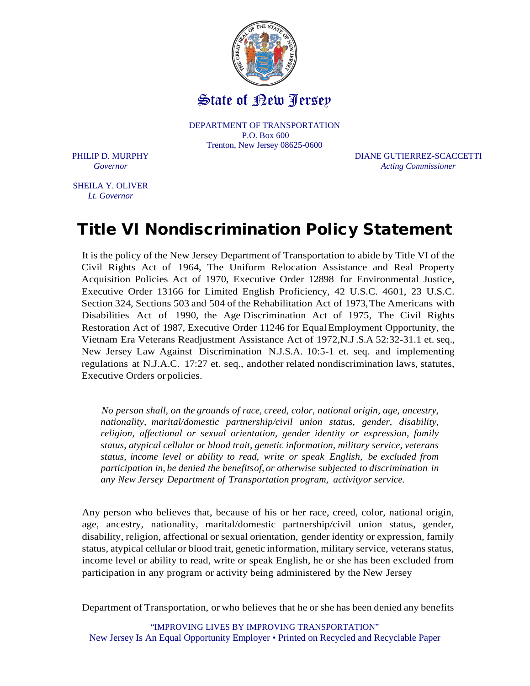

DEPARTMENT OF TRANSPORTATION P.O. Box 600 Trenton, New Jersey 08625-0600

PHILIP D. MURPHY DIANE GUTIERREZ-SCACCETTI *Governor Acting Commissioner*

SHEILA Y. OLIVER *Lt. Governor*

## Title VI Nondiscrimination Policy Statement

It is the policy of the New Jersey Department of Transportation to abide by Title VI of the Civil Rights Act of 1964, The Uniform Relocation Assistance and Real Property Acquisition Policies Act of 1970, Executive Order 12898 for Environmental Justice, Executive Order 13166 for Limited English Proficiency, 42 U.S.C. 4601, 23 U.S.C. Section 324, Sections 503 and 504 of the Rehabilitation Act of 1973,The Americans with Disabilities Act of 1990, the Age Discrimination Act of 1975, The Civil Rights Restoration Act of 1987, Executive Order 11246 for EqualEmployment Opportunity, the Vietnam Era Veterans Readjustment Assistance Act of 1972,N.J.S.A 52:32-31.1 et. seq., New Jersey Law Against Discrimination N.J.S.A. 10:5-1 et. seq. and implementing regulations at N.J.A.C. 17:27 et. seq., andother related nondiscrimination laws, statutes, Executive Orders or policies.

*No person shall, on the grounds of race, creed, color, national origin, age, ancestry, nationality, marital/domestic partnership/civil union status, gender, disability, religion, affectional or sexual orientation, gender identity or expression, family status, atypical cellular or blood trait, genetic information, military service, veterans status, income level or ability to read, write or speak English, be excluded from participation in, be denied the benefitsof, or otherwise subjected to discrimination in any New Jersey Department of Transportation program, activityor service.*

Any person who believes that, because of his or her race, creed, color, national origin, age, ancestry, nationality, marital/domestic partnership/civil union status, gender, disability, religion, affectional or sexual orientation, gender identity or expression, family status, atypical cellular or blood trait, genetic information, military service, veteransstatus, income level or ability to read, write or speak English, he or she has been excluded from participation in any program or activity being administered by the New Jersey

Department of Transportation, or who believes that he or she has been denied any benefits

"IMPROVING LIVES BY IMPROVING TRANSPORTATION" New Jersey Is An Equal Opportunity Employer • Printed on Recycled and Recyclable Paper